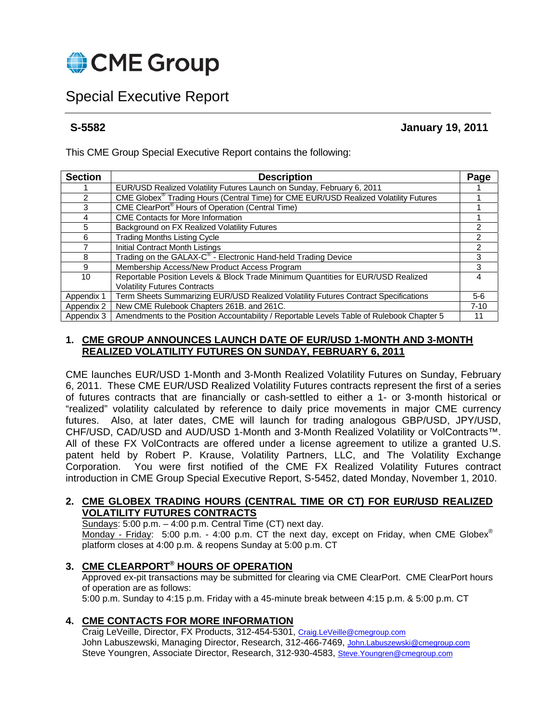

# Special Executive Report

**S-5582 January 19, 2011** 

This CME Group Special Executive Report contains the following:

| <b>Section</b> | <b>Description</b>                                                                        |          |  |  |  |  |
|----------------|-------------------------------------------------------------------------------------------|----------|--|--|--|--|
|                | EUR/USD Realized Volatility Futures Launch on Sunday, February 6, 2011                    | Page     |  |  |  |  |
| 2              | CME Globex® Trading Hours (Central Time) for CME EUR/USD Realized Volatility Futures      |          |  |  |  |  |
| 3              | CME ClearPort <sup>®</sup> Hours of Operation (Central Time)                              |          |  |  |  |  |
| 4              | <b>CME Contacts for More Information</b>                                                  |          |  |  |  |  |
| 5              | Background on FX Realized Volatility Futures                                              | 2        |  |  |  |  |
| 6              | <b>Trading Months Listing Cycle</b>                                                       |          |  |  |  |  |
|                | <b>Initial Contract Month Listings</b>                                                    | 2        |  |  |  |  |
| 8              | Trading on the GALAX-C® - Electronic Hand-held Trading Device                             | 3        |  |  |  |  |
| 9              | Membership Access/New Product Access Program                                              | з        |  |  |  |  |
| 10             | Reportable Position Levels & Block Trade Minimum Quantities for EUR/USD Realized          | 4        |  |  |  |  |
|                | <b>Volatility Futures Contracts</b>                                                       |          |  |  |  |  |
| Appendix 1     | Term Sheets Summarizing EUR/USD Realized Volatility Futures Contract Specifications       | $5-6$    |  |  |  |  |
| Appendix 2     | New CME Rulebook Chapters 261B. and 261C.                                                 | $7 - 10$ |  |  |  |  |
| Appendix 3     | Amendments to the Position Accountability / Reportable Levels Table of Rulebook Chapter 5 | 11       |  |  |  |  |

## **1. CME GROUP ANNOUNCES LAUNCH DATE OF EUR/USD 1-MONTH AND 3-MONTH REALIZED VOLATILITY FUTURES ON SUNDAY, FEBRUARY 6, 2011**

CME launches EUR/USD 1-Month and 3-Month Realized Volatility Futures on Sunday, February 6, 2011. These CME EUR/USD Realized Volatility Futures contracts represent the first of a series of futures contracts that are financially or cash-settled to either a 1- or 3-month historical or "realized" volatility calculated by reference to daily price movements in major CME currency futures. Also, at later dates, CME will launch for trading analogous GBP/USD, JPY/USD, CHF/USD, CAD/USD and AUD/USD 1-Month and 3-Month Realized Volatility or VolContracts™. All of these FX VolContracts are offered under a license agreement to utilize a granted U.S. patent held by Robert P. Krause, Volatility Partners, LLC, and The Volatility Exchange Corporation. You were first notified of the CME FX Realized Volatility Futures contract introduction in CME Group Special Executive Report, S-5452, dated Monday, November 1, 2010.

## **2. CME GLOBEX TRADING HOURS (CENTRAL TIME OR CT) FOR EUR/USD REALIZED VOLATILITY FUTURES CONTRACTS**

Sundays: 5:00 p.m. – 4:00 p.m. Central Time (CT) next day. Monday - Friday: 5:00 p.m. - 4:00 p.m. CT the next day, except on Friday, when CME Globex<sup>®</sup> platform closes at 4:00 p.m. & reopens Sunday at 5:00 p.m. CT

## **3. CME CLEARPORT® HOURS OF OPERATION**

 Approved ex-pit transactions may be submitted for clearing via CME ClearPort. CME ClearPort hours of operation are as follows:

5:00 p.m. Sunday to 4:15 p.m. Friday with a 45-minute break between 4:15 p.m. & 5:00 p.m. CT

## **4. CME CONTACTS FOR MORE INFORMATION**

Craig LeVeille, Director, FX Products, 312-454-5301, Craig.LeVeille@cmegroup.com John Labuszewski, Managing Director, Research, 312-466-7469, John Labuszewski@cmegroup.com Steve Youngren, Associate Director, Research, 312-930-4583, Steve.Youngren@cmegroup.com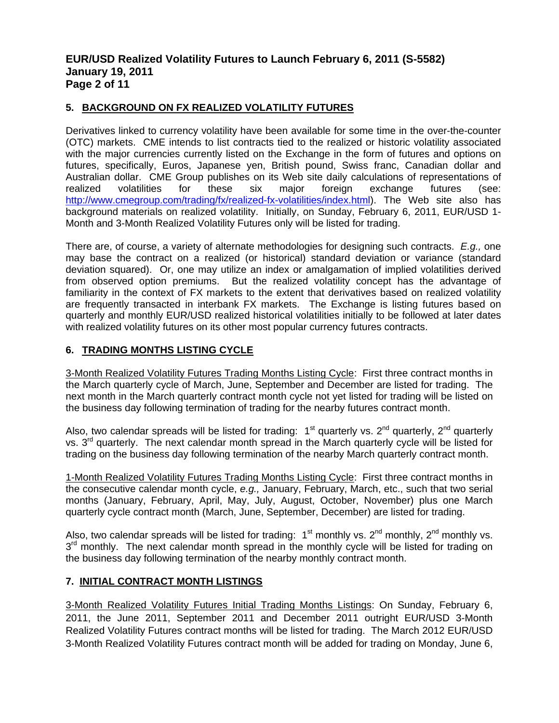## **EUR/USD Realized Volatility Futures to Launch February 6, 2011 (S-5582) January 19, 2011 Page 2 of 11**

## **5. BACKGROUND ON FX REALIZED VOLATILITY FUTURES**

Derivatives linked to currency volatility have been available for some time in the over-the-counter (OTC) markets. CME intends to list contracts tied to the realized or historic volatility associated with the major currencies currently listed on the Exchange in the form of futures and options on futures, specifically, Euros, Japanese yen, British pound, Swiss franc, Canadian dollar and Australian dollar. CME Group publishes on its Web site daily calculations of representations of realized volatilities for these six major foreign exchange futures (see: http://www.cmegroup.com/trading/fx/realized-fx-volatilities/index.html). The Web site also has background materials on realized volatility. Initially, on Sunday, February 6, 2011, EUR/USD 1- Month and 3-Month Realized Volatility Futures only will be listed for trading.

There are, of course, a variety of alternate methodologies for designing such contracts. *E.g.,* one may base the contract on a realized (or historical) standard deviation or variance (standard deviation squared). Or, one may utilize an index or amalgamation of implied volatilities derived from observed option premiums. But the realized volatility concept has the advantage of familiarity in the context of FX markets to the extent that derivatives based on realized volatility are frequently transacted in interbank FX markets. The Exchange is listing futures based on quarterly and monthly EUR/USD realized historical volatilities initially to be followed at later dates with realized volatility futures on its other most popular currency futures contracts.

## **6. TRADING MONTHS LISTING CYCLE**

3-Month Realized Volatility Futures Trading Months Listing Cycle: First three contract months in the March quarterly cycle of March, June, September and December are listed for trading. The next month in the March quarterly contract month cycle not yet listed for trading will be listed on the business day following termination of trading for the nearby futures contract month.

Also, two calendar spreads will be listed for trading:  $1<sup>st</sup>$  quarterly vs.  $2<sup>nd</sup>$  quarterly,  $2<sup>nd</sup>$  quarterly vs.  $3<sup>rd</sup>$  quarterly. The next calendar month spread in the March quarterly cycle will be listed for trading on the business day following termination of the nearby March quarterly contract month.

1-Month Realized Volatility Futures Trading Months Listing Cycle: First three contract months in the consecutive calendar month cycle, *e.g.,* January, February, March, etc., such that two serial months (January, February, April, May, July, August, October, November) plus one March quarterly cycle contract month (March, June, September, December) are listed for trading.

Also, two calendar spreads will be listed for trading:  $1<sup>st</sup>$  monthly vs.  $2<sup>nd</sup>$  monthly vs.  $3<sup>rd</sup>$  monthly. The next calendar month spread in the monthly cycle will be listed for trading on the business day following termination of the nearby monthly contract month.

## **7. INITIAL CONTRACT MONTH LISTINGS**

3-Month Realized Volatility Futures Initial Trading Months Listings: On Sunday, February 6, 2011, the June 2011, September 2011 and December 2011 outright EUR/USD 3-Month Realized Volatility Futures contract months will be listed for trading. The March 2012 EUR/USD 3-Month Realized Volatility Futures contract month will be added for trading on Monday, June 6,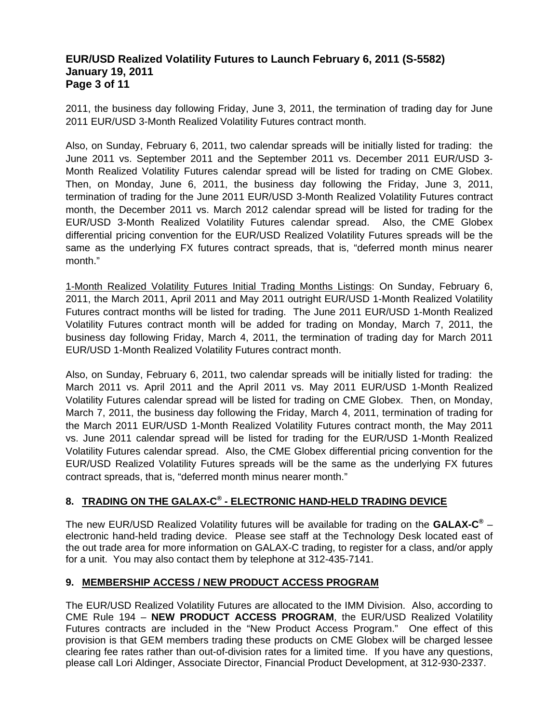## **EUR/USD Realized Volatility Futures to Launch February 6, 2011 (S-5582) January 19, 2011 Page 3 of 11**

2011, the business day following Friday, June 3, 2011, the termination of trading day for June 2011 EUR/USD 3-Month Realized Volatility Futures contract month.

Also, on Sunday, February 6, 2011, two calendar spreads will be initially listed for trading: the June 2011 vs. September 2011 and the September 2011 vs. December 2011 EUR/USD 3- Month Realized Volatility Futures calendar spread will be listed for trading on CME Globex. Then, on Monday, June 6, 2011, the business day following the Friday, June 3, 2011, termination of trading for the June 2011 EUR/USD 3-Month Realized Volatility Futures contract month, the December 2011 vs. March 2012 calendar spread will be listed for trading for the EUR/USD 3-Month Realized Volatility Futures calendar spread. Also, the CME Globex differential pricing convention for the EUR/USD Realized Volatility Futures spreads will be the same as the underlying FX futures contract spreads, that is, "deferred month minus nearer month."

1-Month Realized Volatility Futures Initial Trading Months Listings: On Sunday, February 6, 2011, the March 2011, April 2011 and May 2011 outright EUR/USD 1-Month Realized Volatility Futures contract months will be listed for trading. The June 2011 EUR/USD 1-Month Realized Volatility Futures contract month will be added for trading on Monday, March 7, 2011, the business day following Friday, March 4, 2011, the termination of trading day for March 2011 EUR/USD 1-Month Realized Volatility Futures contract month.

Also, on Sunday, February 6, 2011, two calendar spreads will be initially listed for trading: the March 2011 vs. April 2011 and the April 2011 vs. May 2011 EUR/USD 1-Month Realized Volatility Futures calendar spread will be listed for trading on CME Globex. Then, on Monday, March 7, 2011, the business day following the Friday, March 4, 2011, termination of trading for the March 2011 EUR/USD 1-Month Realized Volatility Futures contract month, the May 2011 vs. June 2011 calendar spread will be listed for trading for the EUR/USD 1-Month Realized Volatility Futures calendar spread. Also, the CME Globex differential pricing convention for the EUR/USD Realized Volatility Futures spreads will be the same as the underlying FX futures contract spreads, that is, "deferred month minus nearer month."

## **8. TRADING ON THE GALAX-C® - ELECTRONIC HAND-HELD TRADING DEVICE**

The new EUR/USD Realized Volatility futures will be available for trading on the **GALAX-C®** – electronic hand-held trading device. Please see staff at the Technology Desk located east of the out trade area for more information on GALAX-C trading, to register for a class, and/or apply for a unit. You may also contact them by telephone at 312-435-7141.

## **9. MEMBERSHIP ACCESS / NEW PRODUCT ACCESS PROGRAM**

The EUR/USD Realized Volatility Futures are allocated to the IMM Division. Also, according to CME Rule 194 – **NEW PRODUCT ACCESS PROGRAM**, the EUR/USD Realized Volatility Futures contracts are included in the "New Product Access Program." One effect of this provision is that GEM members trading these products on CME Globex will be charged lessee clearing fee rates rather than out-of-division rates for a limited time. If you have any questions, please call Lori Aldinger, Associate Director, Financial Product Development, at 312-930-2337.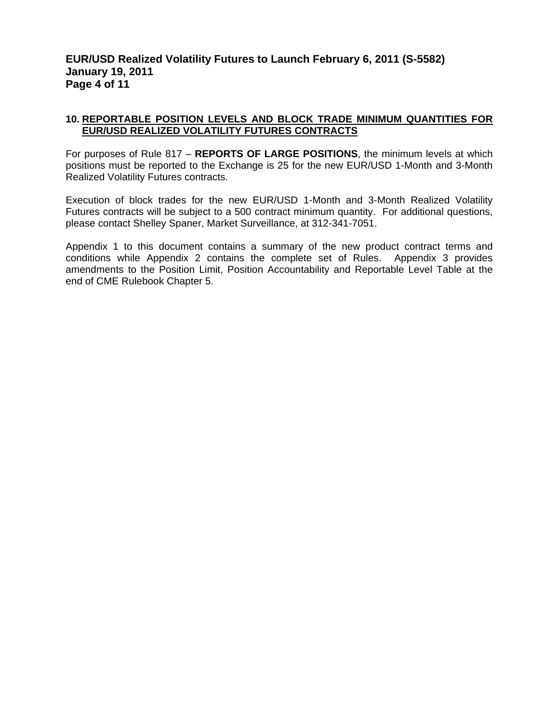## **EUR/USD Realized Volatility Futures to Launch February 6, 2011 (S-5582) January 19, 2011 Page 4 of 11**

## **10. REPORTABLE POSITION LEVELS AND BLOCK TRADE MINIMUM QUANTITIES FOR EUR/USD REALIZED VOLATILITY FUTURES CONTRACTS**

For purposes of Rule 817 – **REPORTS OF LARGE POSITIONS**, the minimum levels at which positions must be reported to the Exchange is 25 for the new EUR/USD 1-Month and 3-Month Realized Volatility Futures contracts.

Execution of block trades for the new EUR/USD 1-Month and 3-Month Realized Volatility Futures contracts will be subject to a 500 contract minimum quantity. For additional questions, please contact Shelley Spaner, Market Surveillance, at 312-341-7051.

Appendix 1 to this document contains a summary of the new product contract terms and conditions while Appendix 2 contains the complete set of Rules. Appendix 3 provides amendments to the Position Limit, Position Accountability and Reportable Level Table at the end of CME Rulebook Chapter 5.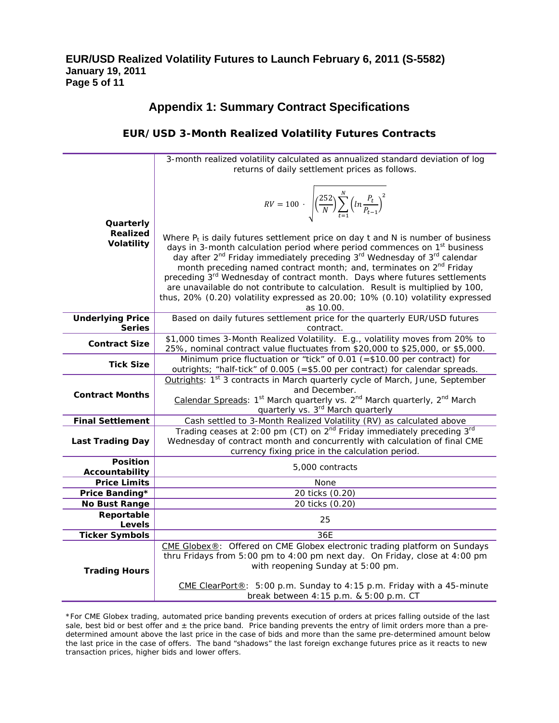# **Appendix 1: Summary Contract Specifications**

## **EUR/USD 3-Month Realized Volatility Futures Contracts**

|                             | 3-month realized volatility calculated as annualized standard deviation of log                                                                                 |  |  |  |  |  |  |
|-----------------------------|----------------------------------------------------------------------------------------------------------------------------------------------------------------|--|--|--|--|--|--|
|                             | returns of daily settlement prices as follows.                                                                                                                 |  |  |  |  |  |  |
|                             |                                                                                                                                                                |  |  |  |  |  |  |
|                             |                                                                                                                                                                |  |  |  |  |  |  |
|                             | $RV = 100 \cdot \sqrt{\left(\frac{252}{N}\right) \sum_{t=1}^{N} \left(ln \frac{P_t}{P_{t-1}}\right)^2}$                                                        |  |  |  |  |  |  |
|                             |                                                                                                                                                                |  |  |  |  |  |  |
| Quarterly                   |                                                                                                                                                                |  |  |  |  |  |  |
| <b>Realized</b>             |                                                                                                                                                                |  |  |  |  |  |  |
| Volatility                  | Where $P_t$ is daily futures settlement price on day t and N is number of business                                                                             |  |  |  |  |  |  |
|                             | days in 3-month calculation period where period commences on 1 <sup>st</sup> business                                                                          |  |  |  |  |  |  |
|                             | day after 2 <sup>nd</sup> Friday immediately preceding 3 <sup>rd</sup> Wednesday of 3 <sup>rd</sup> calendar                                                   |  |  |  |  |  |  |
|                             | month preceding named contract month; and, terminates on 2 <sup>nd</sup> Friday                                                                                |  |  |  |  |  |  |
|                             | preceding 3rd Wednesday of contract month. Days where futures settlements                                                                                      |  |  |  |  |  |  |
|                             | are unavailable do not contribute to calculation. Result is multiplied by 100,                                                                                 |  |  |  |  |  |  |
|                             | thus, 20% (0.20) volatility expressed as 20.00; 10% (0.10) volatility expressed                                                                                |  |  |  |  |  |  |
|                             | as 10.00.                                                                                                                                                      |  |  |  |  |  |  |
| <b>Underlying Price</b>     | Based on daily futures settlement price for the quarterly EUR/USD futures                                                                                      |  |  |  |  |  |  |
| <b>Series</b>               | contract.                                                                                                                                                      |  |  |  |  |  |  |
| <b>Contract Size</b>        | \$1,000 times 3-Month Realized Volatility. E.g., volatility moves from 20% to<br>25%, nominal contract value fluctuates from \$20,000 to \$25,000, or \$5,000. |  |  |  |  |  |  |
|                             | Minimum price fluctuation or "tick" of 0.01 (= $$10.00$ per contract) for                                                                                      |  |  |  |  |  |  |
| <b>Tick Size</b>            | outrights; "half-tick" of 0.005 (=\$5.00 per contract) for calendar spreads.                                                                                   |  |  |  |  |  |  |
|                             | Outrights: 1 <sup>st</sup> 3 contracts in March quarterly cycle of March, June, September                                                                      |  |  |  |  |  |  |
|                             | and December.                                                                                                                                                  |  |  |  |  |  |  |
| <b>Contract Months</b>      | Calendar Spreads: 1st March quarterly vs. 2nd March quarterly, 2nd March                                                                                       |  |  |  |  |  |  |
|                             | quarterly vs. 3 <sup>rd</sup> March quarterly                                                                                                                  |  |  |  |  |  |  |
| <b>Final Settlement</b>     | Cash settled to 3-Month Realized Volatility (RV) as calculated above                                                                                           |  |  |  |  |  |  |
|                             | Trading ceases at 2:00 pm (CT) on 2 <sup>nd</sup> Friday immediately preceding 3 <sup>rd</sup>                                                                 |  |  |  |  |  |  |
| <b>Last Trading Day</b>     | Wednesday of contract month and concurrently with calculation of final CME                                                                                     |  |  |  |  |  |  |
|                             | currency fixing price in the calculation period.                                                                                                               |  |  |  |  |  |  |
| <b>Position</b>             | 5,000 contracts                                                                                                                                                |  |  |  |  |  |  |
| Accountability              |                                                                                                                                                                |  |  |  |  |  |  |
| <b>Price Limits</b>         | None                                                                                                                                                           |  |  |  |  |  |  |
| Price Banding*              | 20 ticks (0.20)                                                                                                                                                |  |  |  |  |  |  |
| No Bust Range<br>Reportable | 20 ticks (0.20)                                                                                                                                                |  |  |  |  |  |  |
| <b>Levels</b>               | 25                                                                                                                                                             |  |  |  |  |  |  |
| <b>Ticker Symbols</b>       | 36E                                                                                                                                                            |  |  |  |  |  |  |
|                             | CME Globex®: Offered on CME Globex electronic trading platform on Sundays                                                                                      |  |  |  |  |  |  |
|                             | thru Fridays from 5:00 pm to 4:00 pm next day. On Friday, close at 4:00 pm                                                                                     |  |  |  |  |  |  |
|                             | with reopening Sunday at 5:00 pm.                                                                                                                              |  |  |  |  |  |  |
| <b>Trading Hours</b>        |                                                                                                                                                                |  |  |  |  |  |  |
|                             | CME ClearPort®: 5:00 p.m. Sunday to 4:15 p.m. Friday with a 45-minute                                                                                          |  |  |  |  |  |  |
|                             | break between 4:15 p.m. & 5:00 p.m. CT                                                                                                                         |  |  |  |  |  |  |

<sup>\*</sup>For CME Globex trading, automated price banding prevents execution of orders at prices falling outside of the last sale, best bid or best offer and  $\pm$  the price band. Price banding prevents the entry of limit orders more than a predetermined amount above the last price in the case of bids and more than the same pre-determined amount below the last price in the case of offers. The band "shadows" the last foreign exchange futures price as it reacts to new transaction prices, higher bids and lower offers.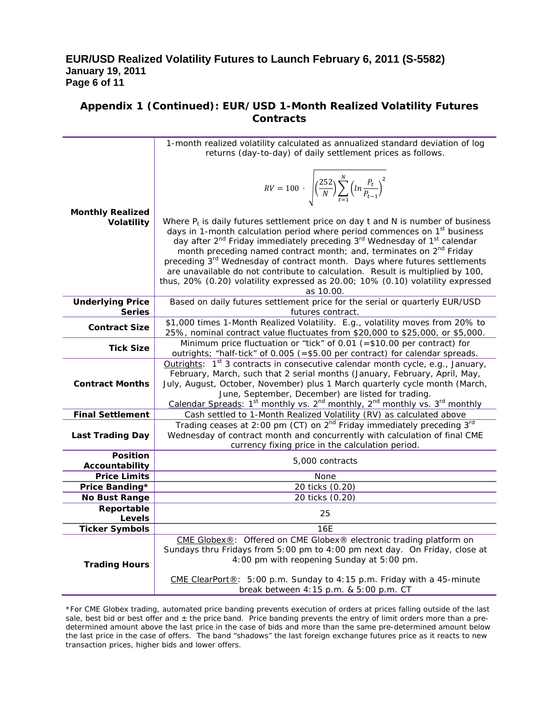## **EUR/USD Realized Volatility Futures to Launch February 6, 2011 (S-5582) January 19, 2011 Page 6 of 11**

## **Appendix 1 (Continued): EUR/USD 1-Month Realized Volatility Futures Contracts**

|                                       | 1-month realized volatility calculated as annualized standard deviation of log                                                                                    |  |  |  |  |  |  |
|---------------------------------------|-------------------------------------------------------------------------------------------------------------------------------------------------------------------|--|--|--|--|--|--|
|                                       | returns (day-to-day) of daily settlement prices as follows.                                                                                                       |  |  |  |  |  |  |
|                                       |                                                                                                                                                                   |  |  |  |  |  |  |
|                                       |                                                                                                                                                                   |  |  |  |  |  |  |
|                                       | $RV = 100 \cdot \sqrt{\left(\frac{252}{N}\right) \sum_{t=1}^{N} \left(ln \frac{P_t}{P_{t-1}}\right)^2}$                                                           |  |  |  |  |  |  |
|                                       |                                                                                                                                                                   |  |  |  |  |  |  |
| <b>Monthly Realized</b>               |                                                                                                                                                                   |  |  |  |  |  |  |
| Volatility                            | Where $P_t$ is daily futures settlement price on day t and N is number of business                                                                                |  |  |  |  |  |  |
|                                       | days in 1-month calculation period where period commences on 1 <sup>st</sup> business                                                                             |  |  |  |  |  |  |
|                                       | day after 2 <sup>nd</sup> Friday immediately preceding 3 <sup>rd</sup> Wednesday of 1 <sup>st</sup> calendar                                                      |  |  |  |  |  |  |
|                                       | month preceding named contract month; and, terminates on 2 <sup>nd</sup> Friday                                                                                   |  |  |  |  |  |  |
|                                       | preceding 3 <sup>rd</sup> Wednesday of contract month. Days where futures settlements                                                                             |  |  |  |  |  |  |
|                                       | are unavailable do not contribute to calculation. Result is multiplied by 100,<br>thus, 20% (0.20) volatility expressed as 20.00; 10% (0.10) volatility expressed |  |  |  |  |  |  |
|                                       | as 10.00.                                                                                                                                                         |  |  |  |  |  |  |
| <b>Underlying Price</b>               | Based on daily futures settlement price for the serial or quarterly EUR/USD                                                                                       |  |  |  |  |  |  |
| <b>Series</b>                         | futures contract.                                                                                                                                                 |  |  |  |  |  |  |
| <b>Contract Size</b>                  | \$1,000 times 1-Month Realized Volatility. E.g., volatility moves from 20% to                                                                                     |  |  |  |  |  |  |
|                                       | 25%, nominal contract value fluctuates from \$20,000 to \$25,000, or \$5,000.                                                                                     |  |  |  |  |  |  |
| <b>Tick Size</b>                      | Minimum price fluctuation or "tick" of 0.01 (=\$10.00 per contract) for                                                                                           |  |  |  |  |  |  |
|                                       | outrights; "half-tick" of 0.005 (=\$5.00 per contract) for calendar spreads.                                                                                      |  |  |  |  |  |  |
|                                       | Outrights: $1st$ 3 contracts in consecutive calendar month cycle, e.g., January,                                                                                  |  |  |  |  |  |  |
| <b>Contract Months</b>                | February, March, such that 2 serial months (January, February, April, May,<br>July, August, October, November) plus 1 March quarterly cycle month (March,         |  |  |  |  |  |  |
|                                       | June, September, December) are listed for trading.                                                                                                                |  |  |  |  |  |  |
|                                       | Calendar Spreads: 1 <sup>st</sup> monthly vs. 2 <sup>nd</sup> monthly, 2 <sup>nd</sup> monthly vs. 3 <sup>rd</sup> monthly                                        |  |  |  |  |  |  |
| <b>Final Settlement</b>               | Cash settled to 1-Month Realized Volatility (RV) as calculated above                                                                                              |  |  |  |  |  |  |
|                                       | Trading ceases at 2:00 pm (CT) on 2 <sup>nd</sup> Friday immediately preceding 3 <sup>rd</sup>                                                                    |  |  |  |  |  |  |
| <b>Last Trading Day</b>               | Wednesday of contract month and concurrently with calculation of final CME                                                                                        |  |  |  |  |  |  |
|                                       | currency fixing price in the calculation period.                                                                                                                  |  |  |  |  |  |  |
| <b>Position</b>                       | 5,000 contracts                                                                                                                                                   |  |  |  |  |  |  |
| Accountability<br><b>Price Limits</b> | None                                                                                                                                                              |  |  |  |  |  |  |
| Price Banding*                        | 20 ticks (0.20)                                                                                                                                                   |  |  |  |  |  |  |
| No Bust Range                         | 20 ticks (0.20)                                                                                                                                                   |  |  |  |  |  |  |
| Reportable                            |                                                                                                                                                                   |  |  |  |  |  |  |
| Levels                                | 25                                                                                                                                                                |  |  |  |  |  |  |
| <b>Ticker Symbols</b>                 | 16E                                                                                                                                                               |  |  |  |  |  |  |
|                                       | CME Globex®: Offered on CME Globex® electronic trading platform on                                                                                                |  |  |  |  |  |  |
|                                       | Sundays thru Fridays from 5:00 pm to 4:00 pm next day. On Friday, close at                                                                                        |  |  |  |  |  |  |
| <b>Trading Hours</b>                  | 4:00 pm with reopening Sunday at 5:00 pm.                                                                                                                         |  |  |  |  |  |  |
|                                       | CME ClearPort®: 5:00 p.m. Sunday to 4:15 p.m. Friday with a 45-minute                                                                                             |  |  |  |  |  |  |
|                                       | break between 4:15 p.m. & 5:00 p.m. CT                                                                                                                            |  |  |  |  |  |  |
|                                       |                                                                                                                                                                   |  |  |  |  |  |  |

\*For CME Globex trading, automated price banding prevents execution of orders at prices falling outside of the last sale, best bid or best offer and  $\pm$  the price band. Price banding prevents the entry of limit orders more than a predetermined amount above the last price in the case of bids and more than the same pre-determined amount below the last price in the case of offers. The band "shadows" the last foreign exchange futures price as it reacts to new transaction prices, higher bids and lower offers.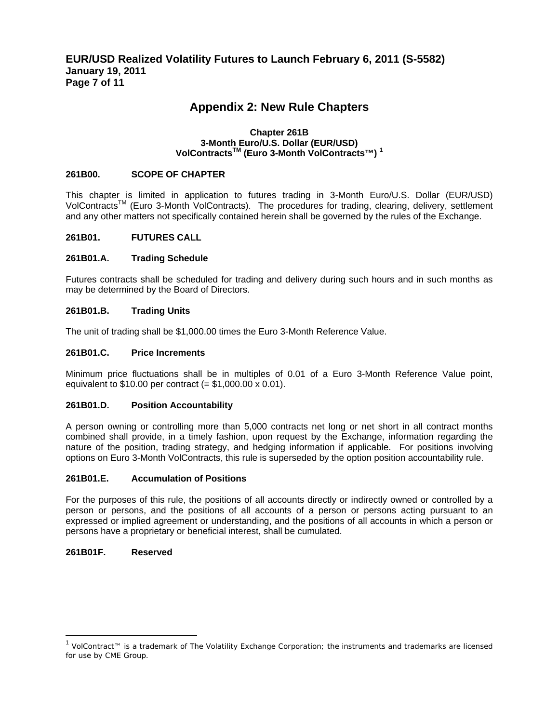## **Appendix 2: New Rule Chapters**

#### **Chapter 261B 3-Month Euro/U.S. Dollar (EUR/USD) VolContractsTM (Euro 3-Month VolContracts™) 1**

#### **261B00. SCOPE OF CHAPTER**

This chapter is limited in application to futures trading in 3-Month Euro/U.S. Dollar (EUR/USD) VolContracts<sup>™</sup> (Euro 3-Month VolContracts). The procedures for trading, clearing, delivery, settlement and any other matters not specifically contained herein shall be governed by the rules of the Exchange.

#### **261B01. FUTURES CALL**

#### **261B01.A. Trading Schedule**

Futures contracts shall be scheduled for trading and delivery during such hours and in such months as may be determined by the Board of Directors.

#### **261B01.B. Trading Units**

The unit of trading shall be \$1,000.00 times the Euro 3-Month Reference Value.

#### **261B01.C. Price Increments**

Minimum price fluctuations shall be in multiples of 0.01 of a Euro 3-Month Reference Value point, equivalent to  $$10.00$  per contract (=  $$1,000.00 \times 0.01$ ).

#### **261B01.D. Position Accountability**

A person owning or controlling more than 5,000 contracts net long or net short in all contract months combined shall provide, in a timely fashion, upon request by the Exchange, information regarding the nature of the position, trading strategy, and hedging information if applicable. For positions involving options on Euro 3-Month VolContracts, this rule is superseded by the option position accountability rule.

#### **261B01.E. Accumulation of Positions**

For the purposes of this rule, the positions of all accounts directly or indirectly owned or controlled by a person or persons, and the positions of all accounts of a person or persons acting pursuant to an expressed or implied agreement or understanding, and the positions of all accounts in which a person or persons have a proprietary or beneficial interest, shall be cumulated.

#### **261B01F. Reserved**

 $\overline{a}$ 

<sup>1</sup> VolContract™ is a trademark of The Volatility Exchange Corporation; the instruments and trademarks are licensed for use by CME Group.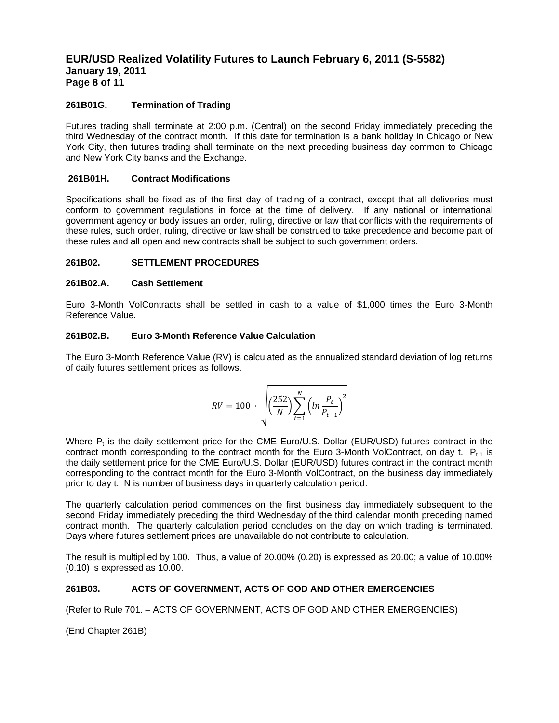## **EUR/USD Realized Volatility Futures to Launch February 6, 2011 (S-5582) January 19, 2011 Page 8 of 11**

#### **261B01G. Termination of Trading**

Futures trading shall terminate at 2:00 p.m. (Central) on the second Friday immediately preceding the third Wednesday of the contract month. If this date for termination is a bank holiday in Chicago or New York City, then futures trading shall terminate on the next preceding business day common to Chicago and New York City banks and the Exchange.

#### **261B01H. Contract Modifications**

Specifications shall be fixed as of the first day of trading of a contract, except that all deliveries must conform to government regulations in force at the time of delivery. If any national or international government agency or body issues an order, ruling, directive or law that conflicts with the requirements of these rules, such order, ruling, directive or law shall be construed to take precedence and become part of these rules and all open and new contracts shall be subject to such government orders.

#### **261B02. SETTLEMENT PROCEDURES**

#### **261B02.A. Cash Settlement**

Euro 3-Month VolContracts shall be settled in cash to a value of \$1,000 times the Euro 3-Month Reference Value.

#### **261B02.B. Euro 3-Month Reference Value Calculation**

The Euro 3-Month Reference Value (RV) is calculated as the annualized standard deviation of log returns of daily futures settlement prices as follows.

$$
RV = 100 \cdot \sqrt{\left(\frac{252}{N}\right) \sum_{t=1}^{N} \left(ln \frac{P_t}{P_{t-1}}\right)^2}
$$

Where  $P_t$  is the daily settlement price for the CME Euro/U.S. Dollar (EUR/USD) futures contract in the contract month corresponding to the contract month for the Euro 3-Month VolContract, on day t.  $P_{t-1}$  is the daily settlement price for the CME Euro/U.S. Dollar (EUR/USD) futures contract in the contract month corresponding to the contract month for the Euro 3-Month VolContract, on the business day immediately prior to day t. N is number of business days in quarterly calculation period.

The quarterly calculation period commences on the first business day immediately subsequent to the second Friday immediately preceding the third Wednesday of the third calendar month preceding named contract month. The quarterly calculation period concludes on the day on which trading is terminated. Days where futures settlement prices are unavailable do not contribute to calculation.

The result is multiplied by 100. Thus, a value of 20.00% (0.20) is expressed as 20.00; a value of 10.00% (0.10) is expressed as 10.00.

#### **261B03. ACTS OF GOVERNMENT, ACTS OF GOD AND OTHER EMERGENCIES**

(Refer to Rule 701. – ACTS OF GOVERNMENT, ACTS OF GOD AND OTHER EMERGENCIES)

(End Chapter 261B)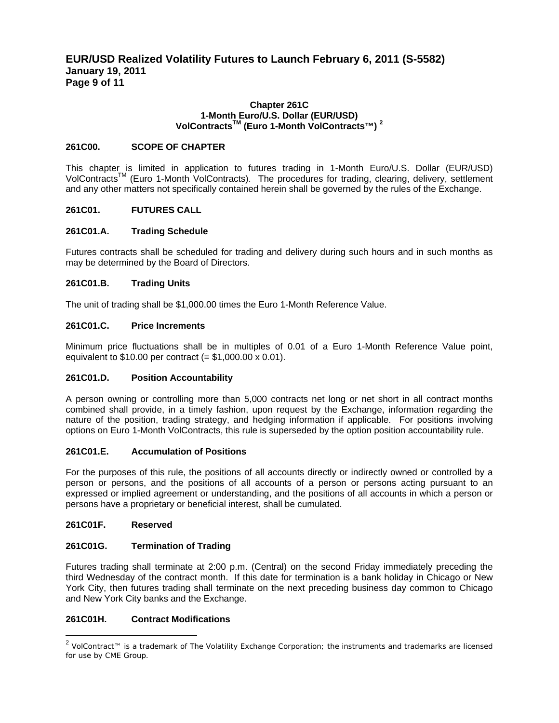## **EUR/USD Realized Volatility Futures to Launch February 6, 2011 (S-5582) January 19, 2011 Page 9 of 11**

#### **Chapter 261C 1-Month Euro/U.S. Dollar (EUR/USD) VolContractsTM (Euro 1-Month VolContracts™) 2**

#### **261C00. SCOPE OF CHAPTER**

This chapter is limited in application to futures trading in 1-Month Euro/U.S. Dollar (EUR/USD) VolContracts<sup>™</sup> (Euro 1-Month VolContracts). The procedures for trading, clearing, delivery, settlement and any other matters not specifically contained herein shall be governed by the rules of the Exchange.

#### **261C01. FUTURES CALL**

#### **261C01.A. Trading Schedule**

Futures contracts shall be scheduled for trading and delivery during such hours and in such months as may be determined by the Board of Directors.

#### **261C01.B. Trading Units**

The unit of trading shall be \$1,000.00 times the Euro 1-Month Reference Value.

#### **261C01.C. Price Increments**

Minimum price fluctuations shall be in multiples of 0.01 of a Euro 1-Month Reference Value point, equivalent to  $$10.00$  per contract (=  $$1,000.00 \times 0.01$ ).

#### **261C01.D. Position Accountability**

A person owning or controlling more than 5,000 contracts net long or net short in all contract months combined shall provide, in a timely fashion, upon request by the Exchange, information regarding the nature of the position, trading strategy, and hedging information if applicable. For positions involving options on Euro 1-Month VolContracts, this rule is superseded by the option position accountability rule.

#### **261C01.E. Accumulation of Positions**

For the purposes of this rule, the positions of all accounts directly or indirectly owned or controlled by a person or persons, and the positions of all accounts of a person or persons acting pursuant to an expressed or implied agreement or understanding, and the positions of all accounts in which a person or persons have a proprietary or beneficial interest, shall be cumulated.

#### **261C01F. Reserved**

 $\overline{a}$ 

#### **261C01G. Termination of Trading**

Futures trading shall terminate at 2:00 p.m. (Central) on the second Friday immediately preceding the third Wednesday of the contract month. If this date for termination is a bank holiday in Chicago or New York City, then futures trading shall terminate on the next preceding business day common to Chicago and New York City banks and the Exchange.

#### **261C01H. Contract Modifications**

<sup>&</sup>lt;sup>2</sup> VolContract™ is a trademark of The Volatility Exchange Corporation; the instruments and trademarks are licensed for use by CME Group.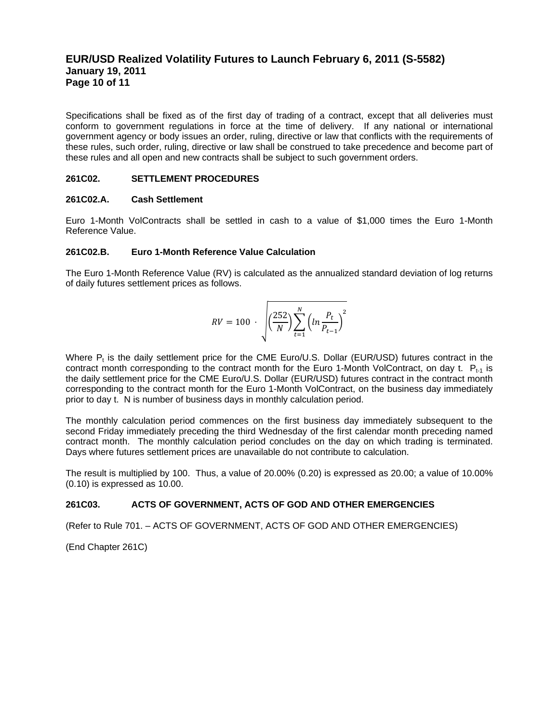## **EUR/USD Realized Volatility Futures to Launch February 6, 2011 (S-5582) January 19, 2011 Page 10 of 11**

Specifications shall be fixed as of the first day of trading of a contract, except that all deliveries must conform to government regulations in force at the time of delivery. If any national or international government agency or body issues an order, ruling, directive or law that conflicts with the requirements of these rules, such order, ruling, directive or law shall be construed to take precedence and become part of these rules and all open and new contracts shall be subject to such government orders.

#### **261C02. SETTLEMENT PROCEDURES**

#### **261C02.A. Cash Settlement**

Euro 1-Month VolContracts shall be settled in cash to a value of \$1,000 times the Euro 1-Month Reference Value.

#### **261C02.B. Euro 1-Month Reference Value Calculation**

The Euro 1-Month Reference Value (RV) is calculated as the annualized standard deviation of log returns of daily futures settlement prices as follows.

$$
RV = 100 \cdot \sqrt{\left(\frac{252}{N}\right) \sum_{t=1}^{N} \left(ln \frac{P_t}{P_{t-1}}\right)^2}
$$

Where  $P_t$  is the daily settlement price for the CME Euro/U.S. Dollar (EUR/USD) futures contract in the contract month corresponding to the contract month for the Euro 1-Month VolContract, on day t.  $P_{t-1}$  is the daily settlement price for the CME Euro/U.S. Dollar (EUR/USD) futures contract in the contract month corresponding to the contract month for the Euro 1-Month VolContract, on the business day immediately prior to day t. N is number of business days in monthly calculation period.

The monthly calculation period commences on the first business day immediately subsequent to the second Friday immediately preceding the third Wednesday of the first calendar month preceding named contract month. The monthly calculation period concludes on the day on which trading is terminated. Days where futures settlement prices are unavailable do not contribute to calculation.

The result is multiplied by 100. Thus, a value of 20.00% (0.20) is expressed as 20.00; a value of 10.00% (0.10) is expressed as 10.00.

#### **261C03. ACTS OF GOVERNMENT, ACTS OF GOD AND OTHER EMERGENCIES**

(Refer to Rule 701. – ACTS OF GOVERNMENT, ACTS OF GOD AND OTHER EMERGENCIES)

(End Chapter 261C)